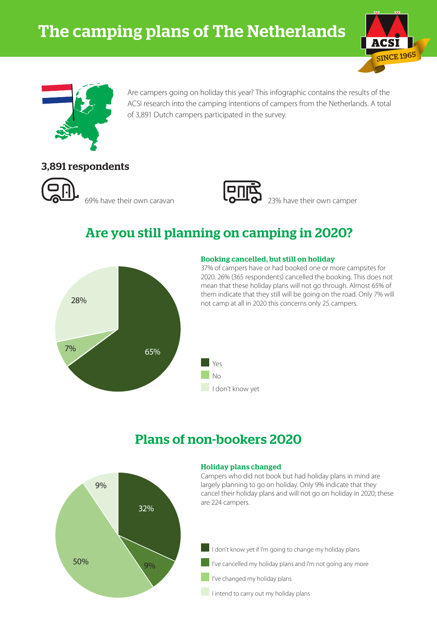



Are campers going on holiday this year? This infographic contains the results of the ACSI research into the camping intentions of campers from the Netherlands. A total of 3,891 Dutch campers participated in the survey.

### 3,891 respondents





69% have their own caravan  $\overline{40}$   $\overline{0}$  23% have their own camper

# Are you still planning on camping in 2020?



### Booking cancelled, but still on holiday

37% of campers have or had booked one or more campsites for 2020. 26% (365 respondents) cancelled the booking. This does not mean that these holiday plans will not go through. Almost 65% of them indicate that they still will be going on the road. Only 7% will not camp at all in 2020 this concerns only 25 campers.



## Plans of non-bookers 2020